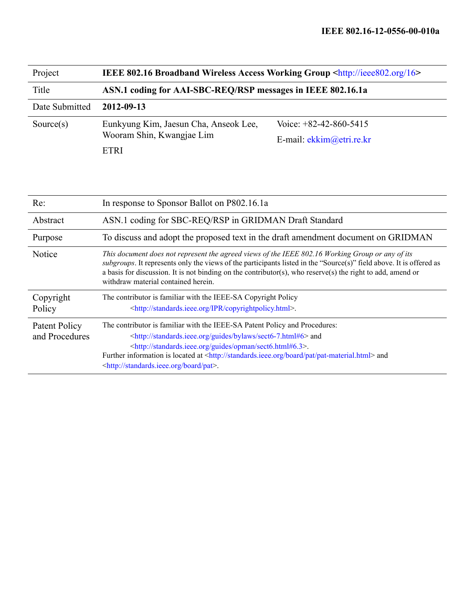| Project        | <b>IEEE 802.16 Broadband Wireless Access Working Group <http: 16="" ieee802.org=""></http:></b> |                            |  |
|----------------|-------------------------------------------------------------------------------------------------|----------------------------|--|
| Title          | ASN.1 coding for AAI-SBC-REQ/RSP messages in IEEE 802.16.1a                                     |                            |  |
| Date Submitted | 2012-09-13                                                                                      |                            |  |
| Source $(s)$   | Eunkyung Kim, Jaesun Cha, Anseok Lee,<br>Wooram Shin, Kwangjae Lim                              | Voice: $+82-42-860-5415$   |  |
|                |                                                                                                 | E-mail: $ekkim@etri.re.kr$ |  |
|                | <b>ETRI</b>                                                                                     |                            |  |

| Re:                             | In response to Sponsor Ballot on P802.16.1a                                                                                                                                                                                                                                                                                                                                                                                   |
|---------------------------------|-------------------------------------------------------------------------------------------------------------------------------------------------------------------------------------------------------------------------------------------------------------------------------------------------------------------------------------------------------------------------------------------------------------------------------|
| Abstract                        | ASN.1 coding for SBC-REQ/RSP in GRIDMAN Draft Standard                                                                                                                                                                                                                                                                                                                                                                        |
| Purpose                         | To discuss and adopt the proposed text in the draft amendment document on GRIDMAN                                                                                                                                                                                                                                                                                                                                             |
| Notice                          | This document does not represent the agreed views of the IEEE 802.16 Working Group or any of its<br>subgroups. It represents only the views of the participants listed in the "Source(s)" field above. It is offered as<br>a basis for discussion. It is not binding on the contributor(s), who reserve(s) the right to add, amend or<br>withdraw material contained herein.                                                  |
| Copyright<br>Policy             | The contributor is familiar with the IEEE-SA Copyright Policy<br><http: copyrightpolicy.html="" ipr="" standards.ieee.org="">.</http:>                                                                                                                                                                                                                                                                                        |
| Patent Policy<br>and Procedures | The contributor is familiar with the IEEE-SA Patent Policy and Procedures:<br><http: bylaws="" guides="" sect6-7.html#6="" standards.ieee.org=""> and<br/><http: guides="" opman="" sect6.html#6.3="" standards.ieee.org="">.<br/>Further information is located at <http: board="" pat="" pat-material.html="" standards.ieee.org=""> and<br/><http: board="" pat="" standards.ieee.org="">.</http:></http:></http:></http:> |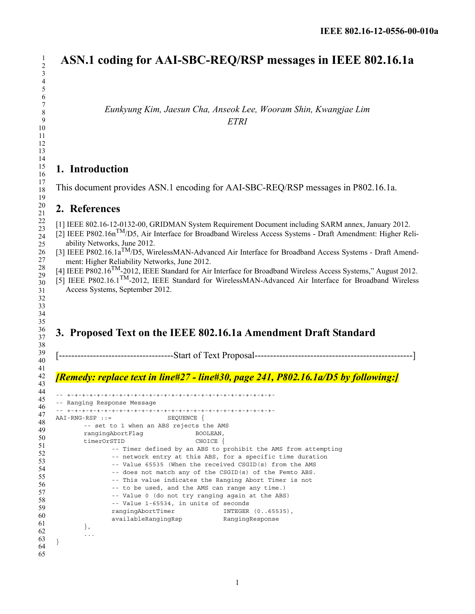# **ASN.1 coding for AAI-SBC-REQ/RSP messages in IEEE 802.16.1a**

*Eunkyung Kim, Jaesun Cha, Anseok Lee, Wooram Shin, Kwangjae Lim ETRI*

### **1. Introduction**

This document provides ASN.1 encoding for AAI-SBC-REQ/RSP messages in P802.16.1a.

### **2. References**

[1] IEEE 802.16-12-0132-00, GRIDMAN System Requirement Document including SARM annex, January 2012.

[2] IEEE P802.16nTM/D5, Air Interface for Broadband Wireless Access Systems - Draft Amendment: Higher Reliability Networks, June 2012.

- [3] IEEE P802.16.1a<sup>TM</sup>/D5, WirelessMAN-Advanced Air Interface for Broadband Access Systems Draft Amendment: Higher Reliability Networks, June 2012.
- $[4]$  IEEE P802.16<sup>TM</sup>-2012, IEEE Standard for Air Interface for Broadband Wireless Access Systems," August 2012.

[5] IEEE P802.16.1TM-2012, IEEE Standard for WirelessMAN-Advanced Air Interface for Broadband Wireless Access Systems, September 2012.

## **3. Proposed Text on the IEEE 802.16.1a Amendment Draft Standard**

[-------------------------------------Start of Text Proposal---------------------------------------------------]

#### *[Remedy: replace text in line#27 - line#30, page 241, P802.16.1a/D5 by following:]*

```
63
64
65
    -- +-+-+-+-+-+-+-+-+-+-+-+-+-+-+-+-+-+-+-+-+-+-+-+-+-+-+-+-
    -- Ranging Response Message
    -- +-+-+-+-+-+-+-+-+-+-+-+-+-+-+-+-+-+-+-+-+-+-+-+-+-+-+-+-
    AAI-RNG-RSP ::= SEQUENCE {
           -- set to 1 when an ABS rejects the AMS 
           rangingAbortFlag BOOLEAN,
           timerOrSTID CHOICE { 
                 -- Timer defined by an ABS to prohibit the AMS from attempting 
                  -- network entry at this ABS, for a specific time duration 
                  -- Value 65535 (When the received CSGID(s) from the AMS 
                  -- does not match any of the CSGID(s) of the Femto ABS. 
                  -- This value indicates the Ranging Abort Timer is not 
                  -- to be used, and the AMS can range any time.) 
                  -- Value 0 (do not try ranging again at the ABS) 
                  -- Value 1-65534, in units of seconds 
                  rangingAbortTimer INTEGER (0..65535),
                  availableRangingRsp RangingResponse
          }, 
           ...
    }
```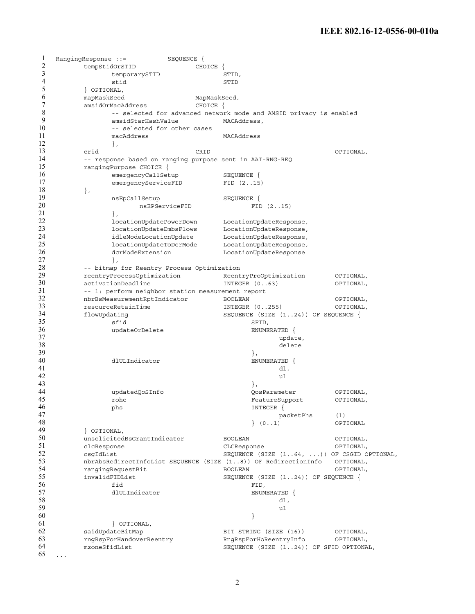```
1
2
3
4
5
6
7
8
9
10
11
12
13
14
15
16
17
18
19
20
21
22
23
24
25
26
27
28
29
30
31
32
33
34
35
36
37
38
39
40
41
42
43
44
45
46
47
48
49
50
51
52
53
54
55
56
57
58
59
60
61
62
63
64
65
   RangingResponse ::= SEQUENCE {
        tempStidOrSTID CHOICE { 
              temporarySTID STID,
              stid STID
         } OPTIONAL, 
         mapMaskSeed MapMaskSeed,
         amsidOrMacAddress CHOICE {
              -- selected for advanced network mode and AMSID privacy is enabled 
              amsidStarHashValue MACAddress,
              -- selected for other cases 
              macAddress MACAddress 
              }, 
         crid CRID OPTIONAL, 
         -- response based on ranging purpose sent in AAI-RNG-REQ 
         rangingPurpose CHOICE { 
              emergencyCallSetup SEQUENCE {<br>emergencyServiceFID FID (2..15)
              emergencyServiceFID FID (2..15) 
         }, 
              nsEpCallSetup SEQUENCE { 
                   nsEPServiceFID FID (2..15)
              }, 
              locationUpdatePowerDown LocationUpdateResponse, 
              locationUpdateEmbsFlows LocationUpdateResponse, 
              idleModeLocationUpdate LocationUpdateResponse, 
              locationUpdateToDcrMode LocationUpdateResponse, 
              dcrModeExtension LocationUpdateResponse 
              }, 
         -- bitmap for Reentry Process Optimization 
         reentryProcessOptimization ReentryProOptimization OPTIONAL, 
        activationDeadline INTEGER (0..63) OPTIONAL, 
         -- 1: perform neighbor station measurement report 
        nbrBsMeasurementRptIndicator BOOLEAN OPTIONAL, 
         resourceRetainTime INTEGER (0..255) OPTIONAL, 
         flowUpdating SEQUENCE (SIZE (1..24)) OF SEQUENCE { 
               sfid SFID,
              updateOrDelete ENUMERATED {
                                                update, 
                                                delete 
                                          }, 
              dlULIndicator ENUMERATED { 
                                                dl, 
                                                ul 
                                          }, 
              updatedQoSInfo QosParameter OPTIONAL, 
              rohc FeatureSupport OPTIONAL, 
              phs INTEGER {
                                               packetPhs (1) 
                                          } (0..1) OPTIONAL 
         } OPTIONAL, 
         unsolicitedBsGrantIndicator BOOLEAN OPTIONAL,
         clcResponse CLCResponse OPTIONAL, 
        csgIdList SEQUENCE (SIZE (1..64, ...)) OF CSGID OPTIONAL, 
        nbrAbsRedirectInfoList SEQUENCE (SIZE (1..8)) OF RedirectionInfo OPTIONAL, 
        rangingRequestBit BOOLEAN OPTIONAL, 
                                     SEQUENCE (SIZE (1..24)) OF SEQUENCE {
               fid FID, 
              dlULIndicator ENUMERATED {
                                                dl, 
                                                ul 
                                          } 
              } OPTIONAL, 
         saidUpdateBitMap BIT STRING (SIZE (16) OPTIONAL,
         rngRspForHandoverReentry RngRspForHoReentryInfo OPTIONAL, 
        mzoneSfidList SEQUENCE (SIZE (1..24)) OF SFID OPTIONAL, 
   ...
```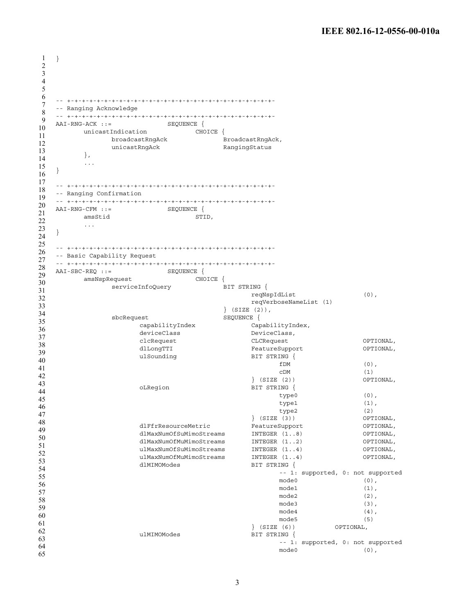```
1
2
3
4
5
6
7
8
9
10
11
12
13
14
15
16
17
18
19
20
21
22
23
24
25
26
27
28
29
30
31
32
33
34
35
36
37
38
39
40
41
42
43
44
45
46
47
48
49
50
51
52
53
54
55
56
57
58
59
60
61
62
63
64
65
  }
   -- +-+-+-+-+-+-+-+-+-+-+-+-+-+-+-+-+-+-+-+-+-+-+-+-+-+-+-+-
   -- Ranging Acknowledge
   -- +-+-+-+-+-+-+-+-+-+-+-+-+-+-+-+-+-+-+-+-+-+-+-+-+-+-+-+-
    AAI-RNG-ACK ::= SEQUENCE {
         unicastIndication CHOICE {
               broadcastRngAck BroadcastRngAck,
               unicastRngAck RangingStatus
         },
         ...
   }
   -- +-+-+-+-+-+-+-+-+-+-+-+-+-+-+-+-+-+-+-+-+-+-+-+-+-+-+-+-
   -- Ranging Confirmation
   -- +-+-+-+-+-+-+-+-+-+-+-+-+-+-+-+-+-+-+-+-+-+-+-+-+-+-+-+-
   \begin{array}{lll} \texttt{AAI-RNG-CFM} & : \texttt{:=} & \texttt{SEQUENCE} \end{array} \left\{ \right.amsStid STID,
         ...
   }
   -- +-+-+-+-+-+-+-+-+-+-+-+-+-+-+-+-+-+-+-+-+-+-+-+-+-+-+-+-
   -- Basic Capability Request
   -- +-+-+-+-+-+-+-+-+-+-+-+-+-+-+-+-+-+-+-+-+-+-+-+-+-+-+-+-
    AAI-SBC-REQ ::= SEQUENCE {
         amsNspRequest CHOICE {
              serviceInfoQuery BIT STRING {
                                            reqNspIdList (0),
                                            reqVerboseNameList (1)
                                      } (SIZE (2)),
               sbcRequest SEQUENCE {
                    capabilityIndex CapabilityIndex,
                     deviceClass DeviceClass,
                     clcRequest CLCRequest OPTIONAL,
                     dlLongTTI FeatureSupport OPTIONAL,
                     ulSounding BIT STRING {
                                                  fDM (0),
                                                  cDM (1)<br>(2) (2) OPTIONAL.
                                             \} (SIZE (2))
                     oLRegion BIT STRING {
                                                  type0 (0),
                                                  type1 (1),
                                                  type2 (2)
                                            } (SIZE (3)) OPTIONAL,
                     dlFfrResourceMetric FeatureSupport OPTIONAL,
                     dlMaxNumOfSuMimoStreams INTEGER (1..8) OPTIONAL,
                     dlMaxNumOfMuMimoStreams INTEGER (1..2) OPTIONAL,<br>ulMaxNumOfSuMimoStreams INTEGER (1..4) OPTIONAL,
                     ulMaxNumOfSuMimoStreams INTEGER (1..4) OPTIONAL,
                     ulMaxNumOfMuMimoStreams INTEGER (1..4) OPTIONAL,
                     dlMIMOModes BIT STRING {
                                                  -- 1: supported, 0: not supported
                                                  mode0 (0),
                                                  model (1),
                                                  mode2 (2),
                                                  mode3 (3),
                                                  mode4 (4),
                                                  mode5 (5)
                                             } (SIZE (6)) OPTIONAL,
                     ulMIMOModes BIT STRING {
                                                  -- 1: supported, 0: not supported
                                                  mode0 (0),
```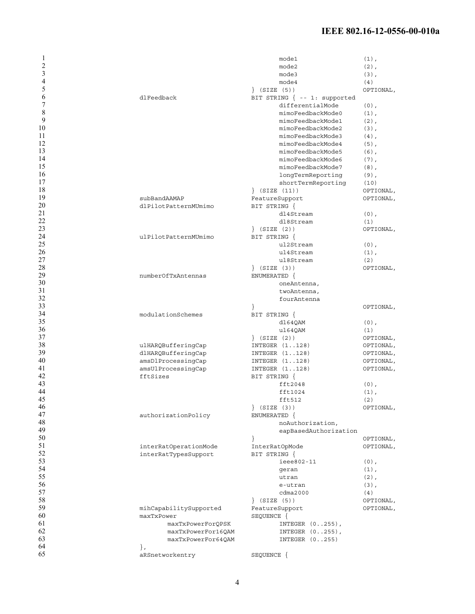### **IEEE 802.16-12-0556-00-010a**

| 1               |                                      | mode1                         | $(1)$ ,          |
|-----------------|--------------------------------------|-------------------------------|------------------|
| 2               |                                      | mode2                         | $(2)$ ,          |
| 3               |                                      | mode3                         | $(3)$ ,          |
| $\overline{4}$  |                                      | mode4                         | (4)              |
| 5               |                                      | $\}$ (SIZE (5))               | OPTIONAL,        |
| 6               | dlFeedback                           | BIT STRING { -- 1: supported  |                  |
| 7               |                                      | differentialMode              | $(0)$ ,          |
| 8               |                                      | mimoFeedbackMode0             | $(1)$ ,          |
| 9               |                                      | mimoFeedbackMode1             | $(2)$ ,          |
| 10              |                                      | mimoFeedbackMode2             | $(3)$ ,          |
| 11              |                                      | mimoFeedbackMode3             | $(4)$ ,          |
| 12              |                                      | mimoFeedbackMode4             | $(5)$ ,          |
| 13              |                                      | mimoFeedbackMode5             | $(6)$ ,          |
| 14              |                                      | mimoFeedbackMode6             | $(7)$ ,          |
| 15              |                                      | mimoFeedbackMode7             | $(8)$ ,          |
| 16              |                                      | longTermReporting             | $(9)$ ,          |
| 17              |                                      | shortTermReporting            | (10)             |
| 18              |                                      | $\{$ (SIZE $(11)$ )           | OPTIONAL,        |
| 19              | subBandAAMAP                         | FeatureSupport                | OPTIONAL,        |
| 20              | dlPilotPatternMUmimo                 | BIT STRING {                  |                  |
| 21              |                                      | dl4Stream                     | $(0)$ ,          |
| $\overline{22}$ |                                      | dl8Stream                     | (1)              |
| 23<br>24        |                                      | $\}$ (SIZE (2))               | OPTIONAL,        |
| 25              | ulPilotPatternMUmimo                 | BIT STRING {                  |                  |
| 26              |                                      | ul2Stream                     | $(0)$ ,          |
| 27              |                                      | ul4Stream<br>ul8Stream        | $(1)$ ,          |
| 28              |                                      | $\}$ (SIZE (3))               | (2)<br>OPTIONAL, |
| 29              | numberOfTxAntennas                   | ENUMERATED {                  |                  |
| 30              |                                      | oneAntenna,                   |                  |
| 31              |                                      | twoAntenna,                   |                  |
| 32              |                                      | fourAntenna                   |                  |
| 33              |                                      | $\{$                          | OPTIONAL,        |
| 34              | modulationSchemes                    | BIT STRING {                  |                  |
| 35              |                                      | dl64QAM                       | $(0)$ ,          |
| 36              |                                      | ul64QAM                       | (1)              |
| 37              |                                      | $\}$ (SIZE (2))               | OPTIONAL,        |
| 38              | ulHARQBufferingCap                   | INTEGER (1128)                | OPTIONAL,        |
| 39              | dlHARQBufferingCap                   | INTEGER (1128)                | OPTIONAL,        |
| 40              | amsDlProcessingCap                   | INTEGER (1128)                | OPTIONAL,        |
| 41              | amsUlProcessingCap                   | INTEGER (1128)                | OPTIONAL,        |
| 42              | fftSizes                             | BIT STRING {                  |                  |
| 43              |                                      | fft2048                       | $(0)$ ,          |
| 44              |                                      | fft1024                       | $(1)$ ,          |
| 45              |                                      | fft512                        | (2)              |
| 46              |                                      | $\}$ (SIZE (3))               | OPTIONAL,        |
| 47              | authorizationPolicy                  | ENUMERATED {                  |                  |
| 48              |                                      | noAuthorization,              |                  |
| 49              |                                      | eapBasedAuthorization         |                  |
| 50              |                                      |                               | OPTIONAL,        |
| 51              | interRatOperationMode                | InterRatOpMode                | OPTIONAL,        |
| 52              | interRatTypesSupport                 | BIT STRING {                  |                  |
| 53              |                                      | ieee802-11                    | $(0)$ ,          |
| 54              |                                      | geran                         | $(1)$ ,          |
| 55              |                                      | utran                         | $(2)$ ,          |
| 56              |                                      | e-utran                       | $(3)$ ,          |
| 57              |                                      | cdma2000                      | (4)              |
| 58              |                                      | $\}$ (SIZE (5))               | OPTIONAL,        |
| 59<br>60        | mihCapabilitySupported<br>maxTxPower | FeatureSupport                | OPTIONAL,        |
| 61              | maxTxPowerForQPSK                    | SEQUENCE {<br>INTEGER (0255), |                  |
| 62              | maxTxPowerFor16QAM                   | INTEGER (0255),               |                  |
| 63              | maxTxPowerFor64QAM                   | INTEGER (0255)                |                  |
| 64              |                                      |                               |                  |
|                 |                                      |                               |                  |
| 65              | $\}$ ,<br>aRSnetworkentry            | SEQUENCE {                    |                  |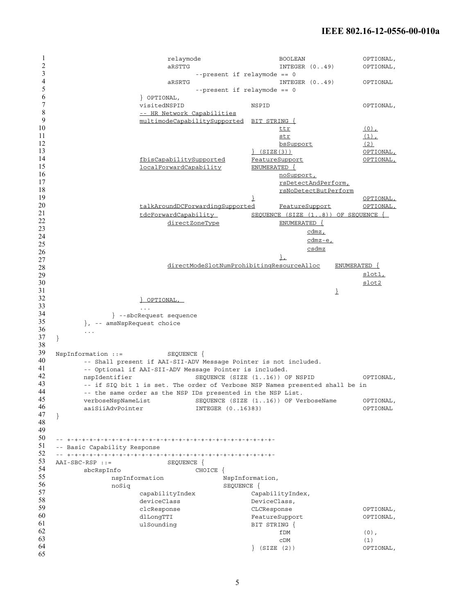```
1
2
3
4
5
6
7
8
9
10
11
12
13
14
15
16
17
18
19
20
21
22
23
24
25
26
27
28
29
30
31
32
33
34
35
36
37
38
39
40
41
42
43
44
45
46
47
48
49
50
51
52
53
54
55
56
57
58
59
60
61
62
63
64
65
                           relaymode BOOLEAN OPTIONAL,
                           aRSTTG INTEGER (0..49) OPTIONAL,
                                --present if relaymode == 0
                           aRSRTG INTEGER (0..49) OPTIONAL
                                 --present if relaymode == 0
                     } OPTIONAL,
                     visitedNSPID NSPID OPTIONAL,
                     -- HR Network Capabilities
                     multimodeCapabilitySupported BIT STRING {
                                                  \frac{\text{ttr}}{\text{t}} (0),
                                                  \frac{\text{str}}{\text{bsSupport}} (1),
                                                  bsSupport
                                             } (SIZE(3)) OPTIONAL,
                     fbisCapabilitySupported FeatureSupport OPTIONAL,
                     localForwardCapability ENUMERATED {
                                                  noSupport,
                                                  rsDetectAndPerform,
                                                  rsNoDetectButPerform
                                            } OPTIONAL,
                     talkAroundDCForwardingSupported FeatureSupport OPTIONAL,
                     tdcForwardCapability SEQUENCE (SIZE (1..8)) OF SEQUENCE { 
                           directZoneType ENUMERATED {
                                                        cdmz,
                                                        cdmz-e,
                                                        csdmz
                                                  \perpdirectModeSlotNumProhibitingResourceAlloc ENUMERATED {
                                                                    slot1,
                                                                    slot2
                                                              }
                     } OPTIONAL, 
                     ...
               } --sbcRequest sequence
         }, -- amsNspRequest choice
         ...
   }
   NspInformation ::= SEQUENCE {
         -- Shall present if AAI-SII-ADV Message Pointer is not included.
         -- Optional if AAI-SII-ADV Message Pointer is included.
         nspIdentifier SEQUENCE (SIZE (1..16)) OF NSPID OPTIONAL,
         -- if SIQ bit 1 is set. The order of Verbose NSP Names presented shall be in
         -- the same order as the NSP IDs presented in the NSP List.
        verboseNspNameList SEQUENCE (SIZE (1..16)) OF VerboseName OPTIONAL,
         aaiSiiAdvPointer     INTEGER (0..16383)     OPTIONAL
  }
   -- +-+-+-+-+-+-+-+-+-+-+-+-+-+-+-+-+-+-+-+-+-+-+-+-+-+-+-+-
   -- Basic Capability Response
   -- +-+-+-+-+-+-+-+-+-+-+-+-+-+-+-+-+-+-+-+-+-+-+-+-+-+-+-+-
  AAI-SBC-RSP ::= SEQUENCE {
         sbcRspInfo CHOICE {
               nspInformation NspInformation,
               noSiq SEQUENCE {
                     capabilityIndex CapabilityIndex,
                     deviceClass DeviceClass,
                     clcResponse CLCResponse OPTIONAL,
                     dlLongTTI FeatureSupport OPTIONAL,
                     ulSounding BIT STRING {
                                                  fDM (0),
                                                  cDM (1)
                                             } (SIZE (2)) OPTIONAL,
```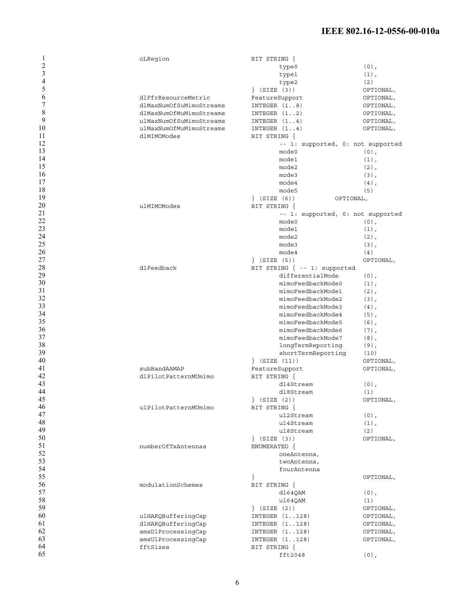### **IEEE 802.16-12-0556-00-010a**

| 1              | oLRegion                | BIT STRING {                      |           |
|----------------|-------------------------|-----------------------------------|-----------|
| $\overline{2}$ |                         | type0                             | $(0)$ ,   |
| 3              |                         | type1                             | $(1)$ ,   |
| $\overline{4}$ |                         | type2                             | (2)       |
| 5              |                         | $\}$ (SIZE (3))                   | OPTIONAL, |
| 6              | dlFfrResourceMetric     | FeatureSupport                    | OPTIONAL, |
| 7              | dlMaxNumOfSuMimoStreams | INTEGER (18)                      | OPTIONAL, |
| 8              | dlMaxNumOfMuMimoStreams | INTEGER (12)                      | OPTIONAL, |
| 9              | ulMaxNumOfSuMimoStreams | INTEGER $(1.1)$                   | OPTIONAL, |
| 10             | ulMaxNumOfMuMimoStreams | INTEGER $(14)$                    | OPTIONAL, |
| 11             | dlMIMOModes             | BIT STRING {                      |           |
| 12             |                         | -- 1: supported, 0: not supported |           |
| 13             |                         |                                   |           |
| 14             |                         | mode0                             | $(0)$ ,   |
|                |                         | mode1                             | $(1)$ ,   |
| 15             |                         | mode2                             | $(2)$ ,   |
| 16             |                         | mode3                             | $(3)$ ,   |
| 17             |                         | mode4                             | $(4)$ ,   |
| 18             |                         | mode5                             | (5)       |
| 19             |                         | $\}$ (SIZE (6))<br>OPTIONAL,      |           |
| 20             | ulMIMOModes             | BIT STRING {                      |           |
| 21             |                         | -- 1: supported, 0: not supported |           |
| 22             |                         | mode0                             | $(0)$ ,   |
| 23             |                         | mode1                             | $(1)$ ,   |
| 24             |                         | mode2                             | $(2)$ ,   |
| 25             |                         | mode3                             | $(3)$ ,   |
| 26             |                         | mode4                             | (4)       |
| 27             |                         |                                   | OPTIONAL, |
| 28             |                         | $\}$ (SIZE (5))                   |           |
|                | dlFeedback              | BIT STRING { -- 1: supported      |           |
| 29             |                         | differentialMode                  | $(0)$ ,   |
| 30             |                         | mimoFeedbackMode0                 | $(1)$ ,   |
| 31             |                         | mimoFeedbackMode1                 | $(2)$ ,   |
| 32             |                         | mimoFeedbackMode2                 | $(3)$ ,   |
| 33             |                         | mimoFeedbackMode3                 | $(4)$ ,   |
| 34             |                         | mimoFeedbackMode4                 | $(5)$ ,   |
| 35             |                         | mimoFeedbackMode5                 | $(6)$ ,   |
| 36             |                         | mimoFeedbackMode6                 | $(7)$ ,   |
| 37             |                         | mimoFeedbackMode7                 | $(8)$ ,   |
| 38             |                         | longTermReporting                 | $(9)$ ,   |
| 39             |                         | shortTermReporting                | (10)      |
| 40             |                         | $\}$ (SIZE (11))                  | OPTIONAL, |
| 41             | subBandAAMAP            | FeatureSupport                    | OPTIONAL, |
| 42             | dlPilotPatternMUmimo    | BIT STRING {                      |           |
| 43             |                         |                                   |           |
| 44             |                         | dl4Stream                         | $(0)$ ,   |
| 45             |                         | dl8Stream                         | (1)       |
|                |                         | (SIZE (2))                        | OPTIONAL, |
| 46             | ulPilotPatternMUmimo    | BIT STRING {                      |           |
| 47             |                         | ul2Stream                         | $(0)$ ,   |
| 48             |                         | ul4Stream                         | $(1)$ ,   |
| 49             |                         | ul8Stream                         | (2)       |
| 50             |                         | $\}$ (SIZE (3))                   | OPTIONAL, |
| 51             | numberOfTxAntennas      | ENUMERATED {                      |           |
| 52             |                         | oneAntenna,                       |           |
| 53             |                         | twoAntenna,                       |           |
| 54             |                         | fourAntenna                       |           |
| 55             |                         |                                   | OPTIONAL, |
| 56             | modulationSchemes       | BIT STRING {                      |           |
| 57             |                         | d1640AM                           | $(0)$ ,   |
| 58             |                         | ul64QAM                           | (1)       |
| 59             |                         |                                   |           |
|                |                         | $\}$ (SIZE (2))                   | OPTIONAL, |
| 60             | ulHARQBufferingCap      | INTEGER (1128)                    | OPTIONAL, |
| 61             | dlHARQBufferingCap      | INTEGER (1128)                    | OPTIONAL, |
| 62             | amsDlProcessingCap      | INTEGER (1128)                    | OPTIONAL, |
| 63             | amsUlProcessingCap      | INTEGER (1128)                    | OPTIONAL, |
| 64             | fftSizes                | BIT STRING {                      |           |
| 65             |                         | fft2048                           | $(0)$ ,   |